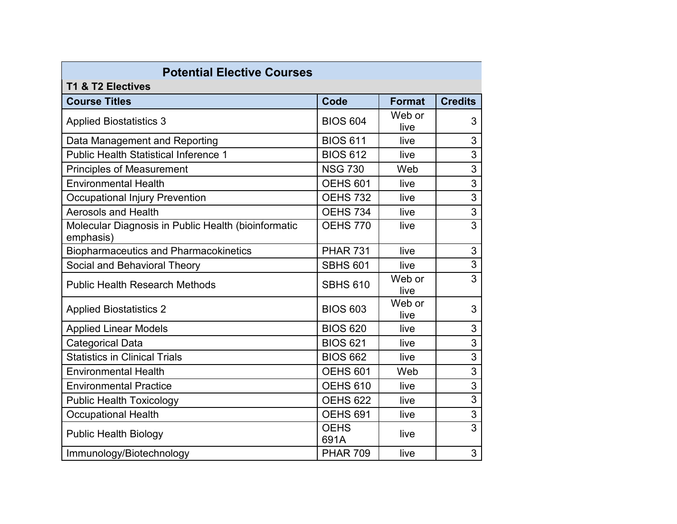| <b>Potential Elective Courses</b><br>T1 & T2 Electives           |                     |                |                           |  |
|------------------------------------------------------------------|---------------------|----------------|---------------------------|--|
| <b>Course Titles</b>                                             | Code                | <b>Format</b>  | <b>Credits</b>            |  |
| <b>Applied Biostatistics 3</b>                                   | <b>BIOS 604</b>     | Web or<br>live | 3                         |  |
| Data Management and Reporting                                    | <b>BIOS 611</b>     | live           | 3                         |  |
| <b>Public Health Statistical Inference 1</b>                     | <b>BIOS 612</b>     | live           | 3                         |  |
| <b>Principles of Measurement</b>                                 | <b>NSG 730</b>      | Web            | 3                         |  |
| <b>Environmental Health</b>                                      | <b>OEHS 601</b>     | live           | 3                         |  |
| <b>Occupational Injury Prevention</b>                            | <b>OEHS 732</b>     | live           | $\mathfrak{S}$            |  |
| <b>Aerosols and Health</b>                                       | <b>OEHS 734</b>     | live           | $\ensuremath{\mathsf{3}}$ |  |
| Molecular Diagnosis in Public Health (bioinformatic<br>emphasis) | <b>OEHS 770</b>     | live           | $\overline{3}$            |  |
| <b>Biopharmaceutics and Pharmacokinetics</b>                     | <b>PHAR 731</b>     | live           | 3                         |  |
| Social and Behavioral Theory                                     | <b>SBHS 601</b>     | live           | 3                         |  |
| <b>Public Health Research Methods</b>                            | <b>SBHS 610</b>     | Web or<br>live | $\overline{3}$            |  |
| <b>Applied Biostatistics 2</b>                                   | <b>BIOS 603</b>     | Web or<br>live | 3                         |  |
| <b>Applied Linear Models</b>                                     | <b>BIOS 620</b>     | live           | 3                         |  |
| <b>Categorical Data</b>                                          | <b>BIOS 621</b>     | live           | 3                         |  |
| <b>Statistics in Clinical Trials</b>                             | <b>BIOS 662</b>     | live           | 3                         |  |
| <b>Environmental Health</b>                                      | <b>OEHS 601</b>     | Web            | 3                         |  |
| <b>Environmental Practice</b>                                    | <b>OEHS 610</b>     | live           | 3                         |  |
| <b>Public Health Toxicology</b>                                  | <b>OEHS 622</b>     | live           | $\overline{3}$            |  |
| <b>Occupational Health</b>                                       | <b>OEHS 691</b>     | live           | $\mathfrak{S}$            |  |
| <b>Public Health Biology</b>                                     | <b>OEHS</b><br>691A | live           | $\overline{3}$            |  |
| Immunology/Biotechnology                                         | <b>PHAR 709</b>     | live           | 3                         |  |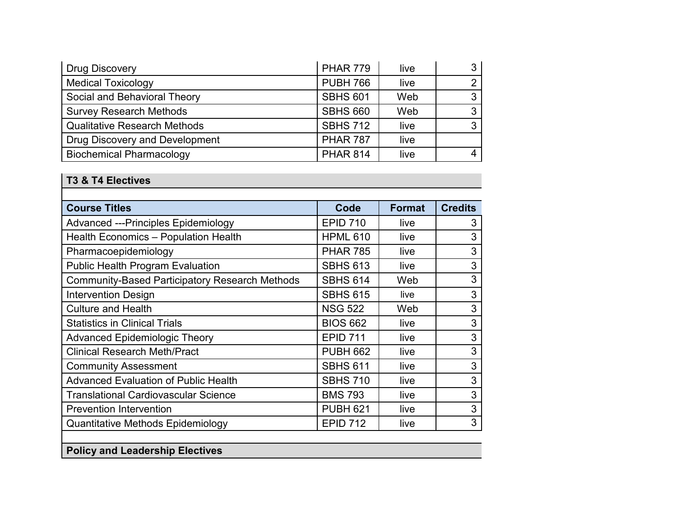| <b>Drug Discovery</b>               | <b>PHAR 779</b> | live |   |
|-------------------------------------|-----------------|------|---|
| <b>Medical Toxicology</b>           | <b>PUBH 766</b> | live | ⌒ |
| Social and Behavioral Theory        | <b>SBHS 601</b> | Web  | ◠ |
| <b>Survey Research Methods</b>      | <b>SBHS 660</b> | Web  |   |
| <b>Qualitative Research Methods</b> | <b>SBHS 712</b> | live | ◠ |
| Drug Discovery and Development      | <b>PHAR 787</b> | live |   |
| <b>Biochemical Pharmacology</b>     | <b>PHAR 814</b> | live |   |

## **T3 & T4 Electives**

| <b>Course Titles</b>                                  | Code            | <b>Format</b> | <b>Credits</b> |
|-------------------------------------------------------|-----------------|---------------|----------------|
| <b>Advanced ---Principles Epidemiology</b>            | <b>EPID 710</b> | live          | 3              |
| Health Economics - Population Health                  | <b>HPML 610</b> | live          | 3              |
| Pharmacoepidemiology                                  | <b>PHAR 785</b> | live          | 3              |
| <b>Public Health Program Evaluation</b>               | <b>SBHS 613</b> | live          | 3              |
| <b>Community-Based Participatory Research Methods</b> | <b>SBHS 614</b> | Web           | 3              |
| <b>Intervention Design</b>                            | <b>SBHS 615</b> | live          | 3              |
| <b>Culture and Health</b>                             | <b>NSG 522</b>  | Web           | 3              |
| <b>Statistics in Clinical Trials</b>                  | <b>BIOS 662</b> | live          | 3              |
| <b>Advanced Epidemiologic Theory</b>                  | <b>EPID 711</b> | live          | 3              |
| <b>Clinical Research Meth/Pract</b>                   | <b>PUBH 662</b> | live          | 3              |
| <b>Community Assessment</b>                           | <b>SBHS 611</b> | live          | 3              |
| <b>Advanced Evaluation of Public Health</b>           | <b>SBHS 710</b> | live          | 3              |
| <b>Translational Cardiovascular Science</b>           | <b>BMS 793</b>  | live          | 3              |
| <b>Prevention Intervention</b>                        | <b>PUBH 621</b> | live          | 3              |
| Quantitative Methods Epidemiology                     | <b>EPID 712</b> | live          | 3              |

## **Policy and Leadership Electives**